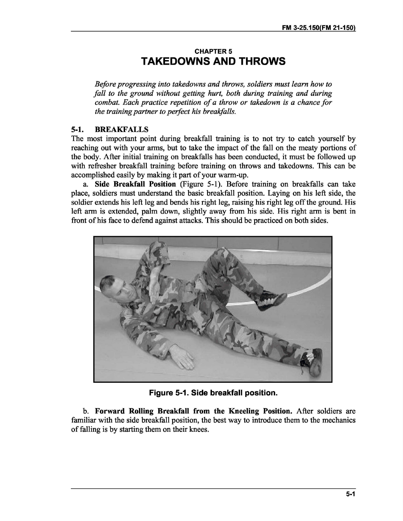## **CHAPTER 5** TAKE DOWNS **AND THROWS**

*Before progressing into takedowns and throws, soldiers must learn how to fall to the ground without getting hurt, both during training and during combat. Each practice repetition of a throw or takedown is a chance for the training partner to perfect his brealifalls.*

## **5-1. BREAKF ALLS**

The most important point during breakfall training is to not try to catch yourself by reaching out with your arms, but to take the impact of the fall on the meaty portions of the body. After initial training on breakfalls has been conducted, it must be followed up with refresher breakfall training before training on throws and takedowns. This can be accomplished easily by making it part of your warm-up.

**a. Side Breakfall Position** (Figure 5-1). Before training on breakfalls can take place, soldiers must understand the basic breakfall position. Laying on his left side, the soldier extends his left leg and bends his right leg, raising his right leg off the ground. His left arm is extended, palm down, slightly away from his side. His right arm is bent in front of his face to defend against attacks. This should be practiced on both sides.



**Figure 5-1. Side breakfall position.**

**b. Forward Rolling Breakfall from the Kneeling Position.** After soldiers are familiar with the side breakfall position, the best way to introduce them to the mechanics of falling is by starting them on their knees.